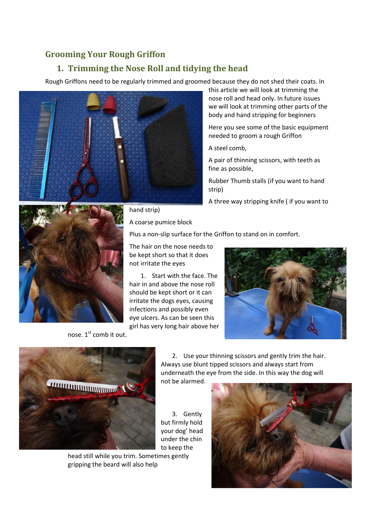## **Grooming Your Rough Griffon**

## **1. Trimming the Nose Roll and tidying the head**

Rough Griffons need to be regularly trimmed and groomed because they do not shed their coats. In



this article we will look at trimming the nose roll and head only. In future issues we will look at trimming other parts of the body and hand stripping for beginners

Here you see some of the basic equipment needed to groom a rough Griffon

A steel comb,

A pair of thinning scissors, with teeth as fine as possible,

Rubber Thumb stalls (if you want to hand strip)

A three way stripping knife ( if you want to



## hand strip)

A coarse pumice block

Plus a non-slip surface for the Griffon to stand on in comfort.

The hair on the nose needs to be kept short so that it does not irritate the eyes

1. Start with the face. The hair in and above the nose roll should be kept short or it can irritate the dogs eyes, causing infections and possibly even eye ulcers. As can be seen this girl has very long hair above her





nose.  $1<sup>st</sup>$  comb it out.

head still while you trim. Sometimes gently gripping the beard will also help

2. Use your thinning scissors and gently trim the hair. Always use blunt tipped scissors and always start from underneath the eye from the side. In this way the dog will not be alarmed.